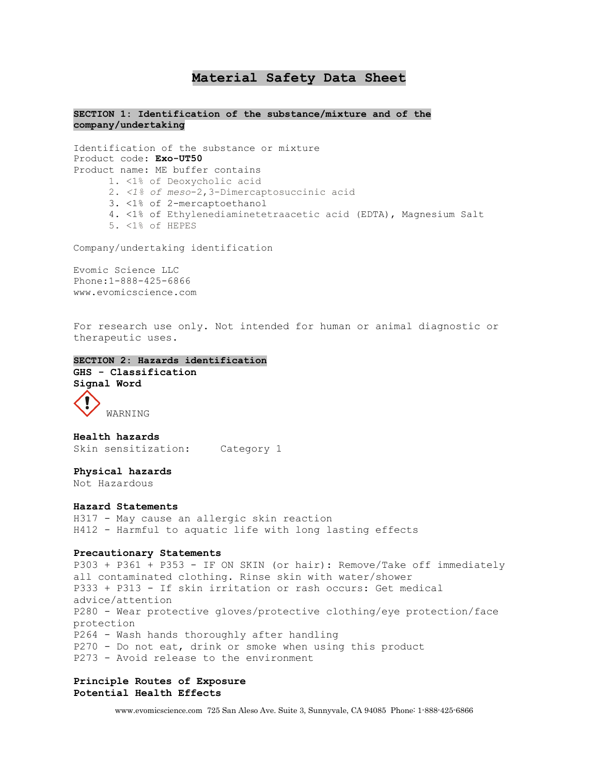# **Material Safety Data Sheet**

## **SECTION 1: Identification of the substance/mixture and of the company/undertaking**

Identification of the substance or mixture Product code: **Exo-UT50** Product name: ME buffer contains 1. <1% of Deoxycholic acid 2. *<1% of meso*-2,3-Dimercaptosuccinic acid 3. <1% of 2-mercaptoethanol 4. <1% of Ethylenediaminetetraacetic acid (EDTA), Magnesium Salt 5. <1% of HEPES

Company/undertaking identification

Evomic Science LLC Phone:1-888-425-6866 www.evomicscience.com

For research use only. Not intended for human or animal diagnostic or therapeutic uses.

```
SECTION 2: Hazards identification
GHS - Classification 
Signal Word 
     WARNING
```
**Health hazards**  Skin sensitization: Category 1

**Physical hazards**  Not Hazardous

## **Hazard Statements**

H317 - May cause an allergic skin reaction H412 - Harmful to aquatic life with long lasting effects

#### **Precautionary Statements**

P303 + P361 + P353 - IF ON SKIN (or hair): Remove/Take off immediately all contaminated clothing. Rinse skin with water/shower P333 + P313 - If skin irritation or rash occurs: Get medical advice/attention P280 - Wear protective gloves/protective clothing/eye protection/face protection P264 - Wash hands thoroughly after handling P270 - Do not eat, drink or smoke when using this product P273 - Avoid release to the environment

## **Principle Routes of Exposure Potential Health Effects**

www.evomicscience.com 725 San Aleso Ave. Suite 3, Sunnyvale, CA 94085 Phone: 1-888-425-6866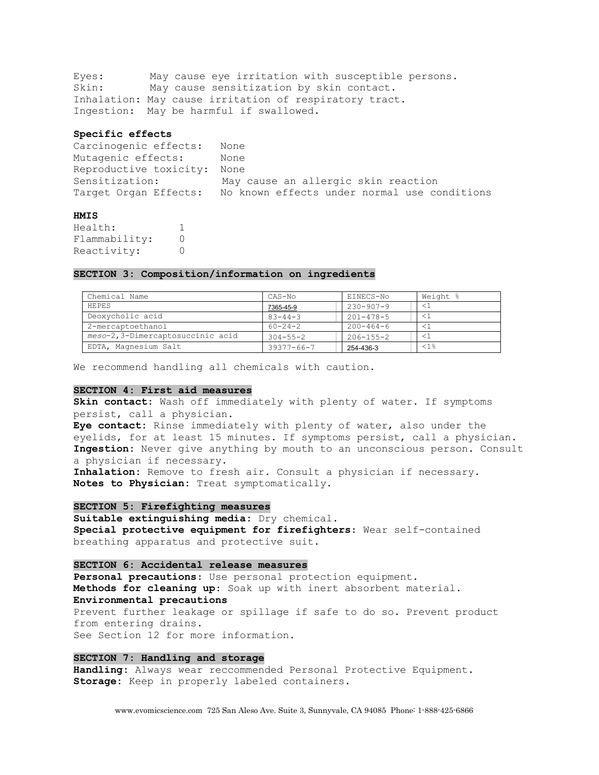Eyes: May cause eye irritation with susceptible persons. Skin: May cause sensitization by skin contact. Inhalation: May cause irritation of respiratory tract. Ingestion: May be harmful if swallowed.

#### **Specific effects**

| Carcinogenic effects:       | None                                         |
|-----------------------------|----------------------------------------------|
| Mutagenic effects:          | None                                         |
| Reproductive toxicity: None |                                              |
| Sensitization:              | May cause an allergic skin reaction          |
| Target Organ Effects:       | No known effects under normal use conditions |

## **HMIS**

Health: 1 Flammability: 0 Reactivity: 0

## **SECTION 3: Composition/information on ingredients**

| Chemical Name                     | CAS-No           | EINECS-No       | Weight % |
|-----------------------------------|------------------|-----------------|----------|
| <b>HEPES</b>                      | 7365-45-9        | $230 - 907 - 9$ |          |
| Deoxycholic acid                  | $83 - 44 - 3$    | $201 - 478 - 5$ |          |
| 2-mercaptoethanol                 | $60 - 24 - 2$    | $200 - 464 - 6$ |          |
| meso-2, 3-Dimercaptosuccinic acid | $304 - 55 - 2$   | $206 - 155 - 2$ |          |
| EDTA, Magnesium Salt              | $39377 - 66 - 7$ | 254-436-3       | <1%      |

We recommend handling all chemicals with caution.

## **SECTION 4: First aid measures**

**Skin contact:** Wash off immediately with plenty of water. If symptoms persist, call a physician. **Eye contact:** Rinse immediately with plenty of water, also under the eyelids, for at least 15 minutes. If symptoms persist, call a physician. **Ingestion:** Never give anything by mouth to an unconscious person. Consult a physician if necessary. **Inhalation:** Remove to fresh air. Consult a physician if necessary. **Notes to Physician:** Treat symptomatically.

#### **SECTION 5: Firefighting measures**

**Suitable extinguishing media:** Dry chemical. **Special protective equipment for firefighters**: Wear self-contained breathing apparatus and protective suit.

### **SECTION 6: Accidental release measures**

**Personal precautions**: Use personal protection equipment. **Methods for cleaning up**: Soak up with inert absorbent material. **Environmental precautions**  Prevent further leakage or spillage if safe to do so. Prevent product from entering drains. See Section 12 for more information.

## **SECTION 7: Handling and storage**

**Handling:** Always wear reccommended Personal Protective Equipment. **Storage:** Keep in properly labeled containers.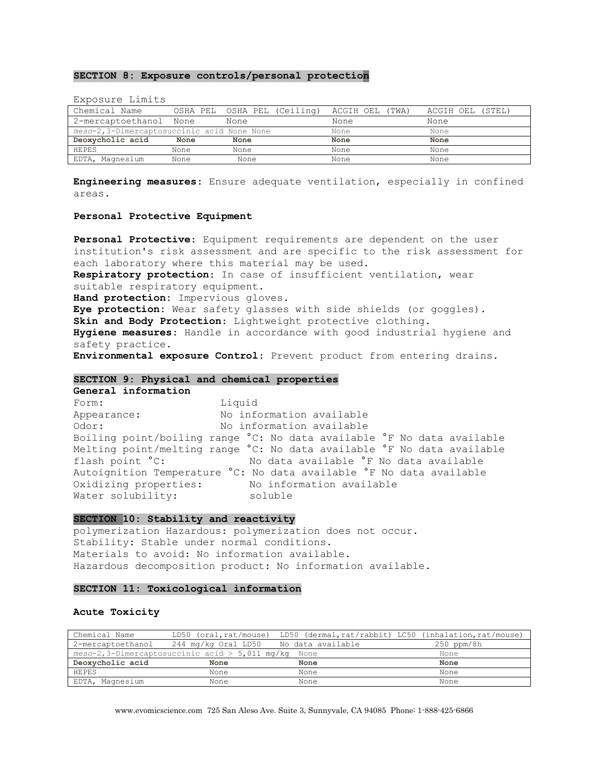## **SECTION 8: Exposure controls/personal protection**

| LANCOULLE LIMITED                          |          |                    |                 |                  |
|--------------------------------------------|----------|--------------------|-----------------|------------------|
| Chemical Name                              | OSHA PEL | OSHA PEL (Ceiling) | ACGIH OEL (TWA) | ACGIH OEL (STEL) |
| 2-mercaptoethanol None                     |          | None               | None            | None             |
| meso-2,3-Dimercaptosuccinic acid None None |          |                    | None            | None             |
| Deoxycholic acid                           | None     | None               | None            | None             |
| HEPES                                      | None     | None               | None            | None             |
| EDTA, Magnesium                            | None     | None               | None            | None             |

Exposure Limits

**Engineering measures**: Ensure adequate ventilation, especially in confined areas.

#### **Personal Protective Equipment**

**Personal Protective**: Equipment requirements are dependent on the user institution's risk assessment and are specific to the risk assessment for each laboratory where this material may be used. **Respiratory protection**: In case of insufficient ventilation, wear suitable respiratory equipment. **Hand protection:** Impervious gloves. **Eye protection:** Wear safety glasses with side shields (or goggles). **Skin and Body Protection**: Lightweight protective clothing. **Hygiene measures**: Handle in accordance with good industrial hygiene and safety practice.

**Environmental exposure Control**: Prevent product from entering drains.

#### **SECTION 9: Physical and chemical properties**

**General information** 

Form: Liquid Appearance: No information available Odor: No information available Boiling point/boiling range °C: No data available °F No data available Melting point/melting range °C: No data available °F No data available flash point °C: No data available °F No data available Autoignition Temperature °C: No data available °F No data available Oxidizing properties: No information available Water solubility: soluble

## **SECTION 10: Stability and reactivity**

polymerization Hazardous: polymerization does not occur. Stability: Stable under normal conditions. Materials to avoid: No information available. Hazardous decomposition product: No information available.

#### **SECTION 11: Toxicological information**

#### **Acute Toxicity**

| Chemical Name     |                                                         |      | LD50 (oral, rat/mouse) LD50 (dermal, rat/rabbit) LC50 (inhalation, rat/mouse) |
|-------------------|---------------------------------------------------------|------|-------------------------------------------------------------------------------|
| 2-mercaptoethanol | 244 mg/kg Oral LD50 No data available                   |      | $250$ ppm/8h                                                                  |
|                   | $meso-2$ , 3-Dimercaptosuccinic acid > 5,011 mg/kg None |      | None                                                                          |
| Deoxycholic acid  | None                                                    | None | None                                                                          |
| HEPES             | None                                                    | None | None                                                                          |
| EDTA, Magnesium   | None                                                    | None | None                                                                          |

www.evomicscience.com 725 San Aleso Ave. Suite 3, Sunnyvale, CA 94085 Phone: 1-888-425-6866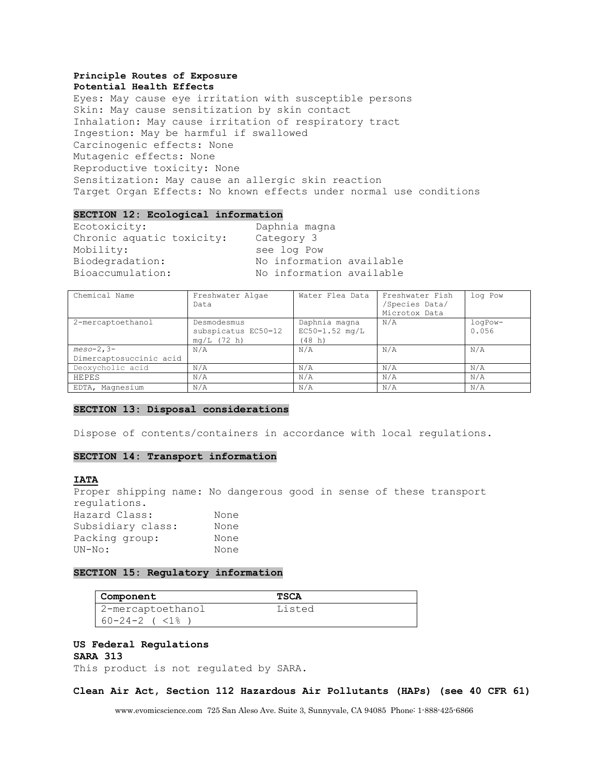#### **Principle Routes of Exposure Potential Health Effects**

Eyes: May cause eye irritation with susceptible persons Skin: May cause sensitization by skin contact Inhalation: May cause irritation of respiratory tract Ingestion: May be harmful if swallowed Carcinogenic effects: None Mutagenic effects: None Reproductive toxicity: None Sensitization: May cause an allergic skin reaction Target Organ Effects: No known effects under normal use conditions

#### **SECTION 12: Ecological information**

Ecotoxicity: Daphnia magna Chronic aquatic toxicity: Category 3 Mobility: see log Pow Biodegradation: No information available Bioaccumulation: No information available

| Chemical Name                          | Freshwater Algae<br>Data                            | Water Flea Data                             | Freshwater Fish<br>/Species Data/<br>Microtox Data | log Pow          |
|----------------------------------------|-----------------------------------------------------|---------------------------------------------|----------------------------------------------------|------------------|
| 2-mercaptoethanol                      | Desmodesmus<br>subspicatus EC50=12<br>$mq/L$ (72 h) | Daphnia magna<br>$EC50=1.52$ mg/L<br>(48 h) | N/A                                                | logPow-<br>0.056 |
| $meso-2,3-$<br>Dimercaptosuccinic acid | N/A                                                 | N/A                                         | N/A                                                | N/A              |
| Deoxycholic acid                       | N/A                                                 | N/A                                         | N/A                                                | N/A              |
| HEPES                                  | N/A                                                 | N/A                                         | N/A                                                | N/A              |
| EDTA, Magnesium                        | N/A                                                 | N/A                                         | N/A                                                | N/A              |

## **SECTION 13: Disposal considerations**

Dispose of contents/containers in accordance with local regulations.

## **SECTION 14: Transport information**

## **IATA**

Proper shipping name: No dangerous good in sense of these transport regulations. Hazard Class: None Subsidiary class: None Packing group: None UN-No: None

## **SECTION 15: Regulatory information**

| Component                  | TSCA   |
|----------------------------|--------|
| 2-mercaptoethanol          | Listed |
| $60 - 24 - 2$ ( $\lt 18$ ) |        |

#### **US Federal Regulations SARA 313**

This product is not regulated by SARA.

## **Clean Air Act, Section 112 Hazardous Air Pollutants (HAPs) (see 40 CFR 61)**

www.evomicscience.com 725 San Aleso Ave. Suite 3, Sunnyvale, CA 94085 Phone: 1-888-425-6866